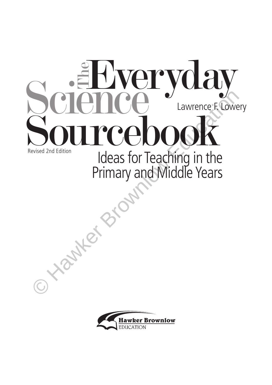## Every Science Sourcebook Ideas for Teaching in the Primary and Middle Years Lawrence F. Lowery Revised 2nd Edition



**Hawker Bro**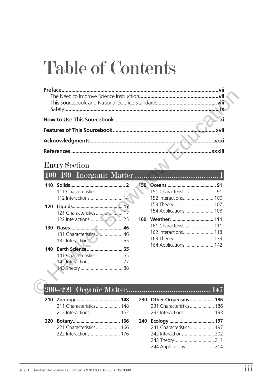## Table of Contents

|     |                                               |                                                                    | ….xvii  |
|-----|-----------------------------------------------|--------------------------------------------------------------------|---------|
|     |                                               |                                                                    | xxxi    |
|     |                                               |                                                                    | .xxxiii |
|     | <b>Entry Section</b>                          |                                                                    |         |
| 110 | 112 Interactions 14                           | 152 Interactions 100                                               |         |
|     |                                               | 153 Theory 107<br>154 Applications  108                            |         |
|     |                                               |                                                                    |         |
|     | 131 Characteristics 46<br>132 Interactions 55 | 161 Characteristics  111<br>162 Interactions 118<br>163 Theory 133 |         |
|     | 141 Characteristics 65<br>142 Interactions 77 | 164 Applications  142                                              |         |

### Entry Section

|     |                                                 | 150 |                                                                          |  |
|-----|-------------------------------------------------|-----|--------------------------------------------------------------------------|--|
|     | 112 Interactions 14                             |     | 151 Characteristics  91<br>152 Interactions 100                          |  |
|     |                                                 |     | 154 Applications  108                                                    |  |
|     |                                                 | 160 |                                                                          |  |
| 130 | 131 Characteristics 46                          |     | 161 Characteristics 111<br>162 Interactions 118<br>164 Applications  142 |  |
|     | 140 Earth Science 65<br>141 Characteristics  65 |     |                                                                          |  |
|     |                                                 |     |                                                                          |  |

| 150 |                          |  |
|-----|--------------------------|--|
| v.  | 151 Characteristics  91  |  |
| b.  | 152 Interactions 100     |  |
|     |                          |  |
|     | 154 Applications  108    |  |
|     |                          |  |
| 160 |                          |  |
|     | 161 Characteristics  111 |  |
|     | 162 Interactions 118     |  |
|     |                          |  |
|     | 164 Applications  142    |  |

## 200–299 Organic Matter .............................................147

| 211 Characteristics 148 |  |
|-------------------------|--|
|                         |  |
|                         |  |

221 Characteristics ................... 166 222 Interactions ........................ 176

| 230 Other Organisms 186<br>231 Characteristics 186<br>232 Interactions 193 |  |
|----------------------------------------------------------------------------|--|
| 241 Characteristics 197<br>242 Interactions 202<br>244 Applications  214   |  |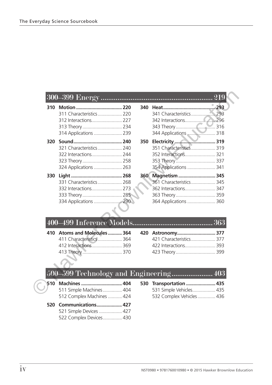### 300–399 Energy ............................................................219

| 219 |                                                                             |            |     |                                                                                                                     |             |  |
|-----|-----------------------------------------------------------------------------|------------|-----|---------------------------------------------------------------------------------------------------------------------|-------------|--|
| 310 | 311 Characteristics  220<br>312 Interactions 227<br>314 Applications  239   | 220        | 340 | Heat<br>341 Characteristics                                                                                         | 293<br>.293 |  |
| 320 | 321 Characteristics 240<br>322 Interactions 244<br>324 Applications  263    | 240        |     | 350 Electricity  319<br>351 Characteristics  319<br>352 Interactions 321<br>353 Theory 337<br>354 Applications  341 |             |  |
| 330 | 331 Characteristics<br>332 Interactions                                     | 268<br>273 | 360 | Magnetism  345<br>361 Characteristics 345<br>362 Interactions 347<br>364 Applications  360                          |             |  |
|     |                                                                             |            |     |                                                                                                                     |             |  |
| 410 | Atoms and Molecules  364<br>411 Characteristics 364<br>412 Interactions 369 |            |     | 420 Astronomy 377<br>421 Characteristics 377<br>422 Interactions 393<br>423 Theory  399                             |             |  |
|     | 500–599 Technology and Engineering                                          |            |     |                                                                                                                     |             |  |

| 340 |                          |  |
|-----|--------------------------|--|
|     |                          |  |
|     |                          |  |
|     |                          |  |
|     | 344 Applications  318    |  |
| 350 | <b>Electricity  319</b>  |  |
|     | 351 Characteristics 319  |  |
|     | 352 Interactions 321     |  |
|     |                          |  |
|     | 354 Applications  341    |  |
| 360 | <b>Magnetism  345</b>    |  |
|     | 361 Characteristics  345 |  |
|     | 362 Interactions 347     |  |
|     | 363 Theory  359          |  |
|     | 364 Applications  360    |  |

### 400–499 Inference Models ...........................................363

| 410 Atoms and Molecules  364 |  |
|------------------------------|--|
| 411 Characteristics 364      |  |
| 412 Interactions 369         |  |
|                              |  |

| 420 Astronomy 377       |  |
|-------------------------|--|
| 421 Characteristics 377 |  |
| 422 Interactions 393    |  |
| 423 Theory  399         |  |

| 500–599 Technology and Engineering 403                                       |                                                                                |  |
|------------------------------------------------------------------------------|--------------------------------------------------------------------------------|--|
| - 510 Machines  404<br>511 Simple Machines  404<br>512 Complex Machines  424 | 530 Transportation  435<br>531 Simple Vehicles 435<br>532 Complex Vehicles 436 |  |
| 520 Communications 427<br>521 Simple Devices  427<br>522 Complex Devices 430 |                                                                                |  |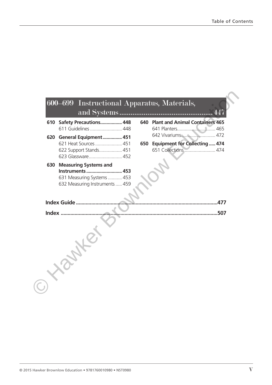## 600–699 Instructional Apparatus, Materials, and Systems ..................................................447 **610 Safety Precautions ................. 448** 611 Guidelines ......................... 448 **620 General Equipment ............... 451** 621 Heat Sources ..................... 451 622 Support Stands .................. 451 623 Glassware .......................... 452 **630 Measuring Systems and Instruments ............................ 453** 631 Measuring Systems ........... 453 632 Measuring Instruments ..... 459 **640 Plant and Animal Containers 465** 641 Planters.............................. 465 642 Vivariums........................... 472 **650 Equipment for Collecting ..... 474** 651 Collections ......................... 474 **Index Guide ......................................................................................................477 Index .................................................................................................................507 CONSINER**

© 2015 Hawker Brownlow Education • 9781760010980 • NST0980 v  $V$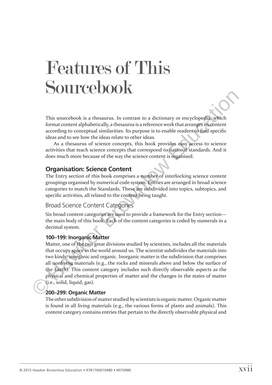## Features of This Sourcebook

This sourcebook is a thesaurus. In contrast to a dictionary or encyclopedia, which format content alphabetically, a thesaurus is a reference work that arranges its content according to conceptual similarities. Its purpose is to enable readers to find specific ideas and to see how the ideas relate to other ideas.

As a thesaurus of science concepts, this book provides easy access to science activities that teach science concepts that correspond to national standards. And it does much more because of the way the science content is organised.

#### **Organisation: Science Content**

The Entry section of this book comprises a number of interlocking science content groupings organised by numerical code system. Entries are arranged in broad science categories to match the Standards. These are subdivided into topics, subtopics, and specific activities, all related to the content being taught.

#### Broad Science Content Categories

Six broad content categories are used to provide a framework for the Entry section the main body of this book. Each of the content categories is coded by numerals in a decimal system.

#### **100–199: Inorganic Matter**

Matter, one of the two great divisions studied by scientists, includes all the materials that occupy space in the world around us. The scientist subdivides the materials into two kinds: inorganic and organic. Inorganic matter is the subdivision that comprises all nonliving materials (e.g., the rocks and minerals above and below the surface of the Earth). This content category includes such directly observable aspects as the physical and chemical properties of matter and the changes in the states of matter (i.e., solid, liquid, gas). NO COLLENCATION IN THE SIGN OF THE SIGN OF THE SIGN OF THE SIGN CONDICTS (THE SIGN AND THE SIGN AREA CONDITED A CONDITED AND CONDITED A SURFACE AND A DESCRIPTION AND A CONDITED AND AN EXTENDIBLE THIS AREA IN A SURFACE THIS

#### **200–299: Organic Matter**

The other subdivision of matter studied by scientists is organic matter. Organic matter is found in all living materials (e.g., the various forms of plants and animals). This content category contains entries that pertain to the directly observable physical and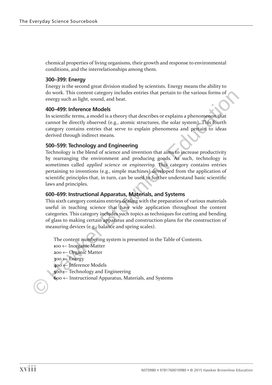chemical properties of living organisms, their growth and response to environmental conditions, and the interrelationships among them.

#### **300–399: Energy**

Energy is the second great division studied by scientists. Energy means the ability to do work. This content category includes entries that pertain to the various forms of energy such as light, sound, and heat.

#### **400–499: Inference Models**

In scientific terms, a model is a theory that describes or explains a phenomenon that cannot be directly observed (e.g., atomic structures, the solar system). This fourth category contains entries that serve to explain phenomena and pertain to ideas derived through indirect means.

#### **500–599: Technology and Engineering**

Technology is the blend of science and invention that aims to increase productivity by rearranging the environment and producing goods. As such, technology is sometimes called *applied science* or *engineering.* This category contains entries pertaining to inventions (e.g., simple machines) developed from the application of scientific principles that, in turn, can be used to further understand basic scientific laws and principles. do work. This content category includes entries that pertain to the various forms of<br>energy such as light, sound, and heat.<br> **400–499:** Inference Models<br>
In scientific terms, a model is a theory that describes or explains

#### **600–699: Instructional Apparatus, Materials, and Systems**

This sixth category contains entries dealing with the preparation of various materials useful in teaching science that have wide application throughout the content categories. This category includes such topics as techniques for cutting and bending of glass to making certain apparatus and construction plans for the construction of measuring devices (e.g., balance and spring scales).

The content numbering system is presented in the Table of Contents.

**1**00 ← Inorganic Matter

**2**00 ← Organic Matter

**3**00 ← Energy

**4**00 ← Inference Models

**5**00 ← Technology and Engineering

**6**00 ← Instructional Apparatus, Materials, and Systems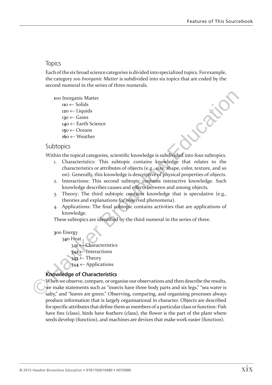#### **Topics**

Each of the six broad science categories is divided into specialized topics. For example, the category *100 Inorganic Matter* is subdivided into six topics that are coded by the second numeral in the series of three numerals.

**1**00 Inorganic Matter

- 1**1**0 ← Solids 1**2**0 ← Liquids 1**3**0 ← Gases
- 1**4**0 ← Earth Science
- 1**5**0 ← Oceans
- 1**6**0 ← Weather

#### **Subtopics**

Within the topical categories, scientific knowledge is subdivided into four subtopics.

- 1. Characteristics: This subtopic contains knowledge that relates to the characteristics or attributes of objects (e.g., size, shape, color, texture, and so on). Generally, this knowledge is descriptive of physical properties of objects.
- 2. Interactions: This second subtopic contains interactive knowledge. Such knowledge describes causes and effects between and among objects.
- 3. Theory: The third subtopic contains knowledge that is speculative (e.g., theories and explanations for observed phenomena).
- 4. Applications: The final subtopic contains activities that are applications of knowledge.

These subtopics are identified by the third numeral in the series of three.

**3**00 Energy

3**4**0 Heat

34**1** ← Characteristics

- 34**2** ← Interactions
- 34**3** ← Theory

34**4** ← Applications

#### **Knowledge of Characteristics**

When we observe, compare, or organise our observations and then describe the results, we make statements such as "insects have three body parts and six legs," "sea water is salty," and "leaves are green." Observing, comparing, and organising processes always produce information that is largely organisational in character. Objects are described for specific attributes that define them as members of a particular class or function: Fish have fins (class), birds have feathers (class), the flower is the part of the plant where seeds develop (function), and machines are devices that make work easier (function). 100 Inorganic Matter<br>
101  $\sim$  Solids<br>
120  $\leftarrow$  Liquids<br>
120  $\leftarrow$  Liquids<br>
120  $\leftarrow$  Liquids<br>
120  $\leftarrow$  Liquids<br>
120  $\leftarrow$  Liquids<br>
160  $\leftarrow$  Weather<br>
Subtopics<br>
1. Characteristics: This subtopic contains knowledge that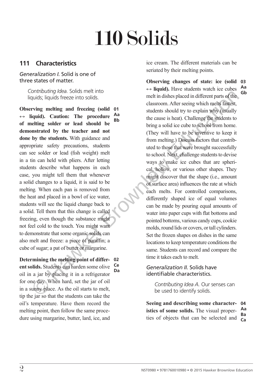# 110 Solids

#### **111 Characteristics**

*Generalization I.* Solid is one of three states of matter.

> *Contributing Idea.* Solids melt into liquids; liquids freeze into solids.

**Observing melting and freezing (solid 01 ↔ liquid). Caution: The procedure of melting solder or lead should be demonstrated by the teacher and not done by the students.** With guidance and appropriate safety precautions, students can see solder or lead (fish weight) melt in a tin can held with pliers. After letting students describe what happens in each case, you might tell them that whenever a solid changes to a liquid, it is said to be melting*.* When each pan is removed from the heat and placed in a bowl of ice water, students will see the liquid change back to a solid. Tell them that this change is called freezing, even though the substance might not feel cold to the touch. You might want to demonstrate that some organic solids can also melt and freeze: a piece of paraffin; a cube of sugar; a pat of butter or margarine. **Aa Bb**

**Determining the melting point of different solids.** Students can harden some olive oil in a jar by placing it in a refrigerator for one day. When hard, set the jar of oil in a sunny place. As the oil starts to melt, tip the jar so that the students can take the oil's temperature. Have them record the melting point, then follow the same procedure using margarine, butter, lard, ice, and **02 Ce Da** ice cream. The different materials can be seriated by their melting points.

**Observing changes of state: ice (solid 03 ↔ liquid).** Have students watch ice cubes melt in dishes placed in different parts of the classroom. After seeing which melts fastest, students should try to explain why (usually the cause is heat). Challenge the students to bring a solid ice cube to school from home. (They will have to be inventive to keep it from melting.) Discuss factors that contributed to those that were brought successfully to school. Next, challenge students to devise ways to make ice cubes that are spherical, hollow, or various other shapes. They might discover that the shape (i.e., amount of surface area) influences the rate at which each melts. For controlled comparisons, differently shaped ice of equal volumes can be made by pouring equal amounts of water into paper cups with flat bottoms and pointed bottoms, various candy cups, cookie molds, round lids or covers, or tall cylinders. Set the frozen shapes on dishes in the same locations to keep temperature conditions the same. Students can record and compare the time it takes each to melt. **Aa Gb** Controllaring (asses). Solutis met into the section of the section of the section of the section of the section of the section of the section of the section of the section of the section of the section of the section of t

#### *Generalization II.* Solids have identifiable characteristics.

*Contributing Idea A.* Our senses can be used to identify solids.

**Seeing and describing some characteristics of some solids.** The visual properties of objects that can be selected and **04 Aa Ba Ca**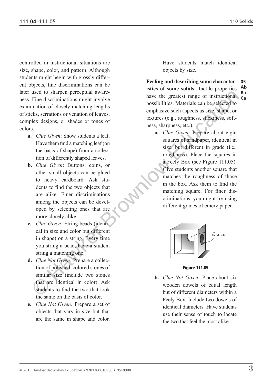controlled in instructional situations are size, shape, color, and pattern. Although students might begin with grossly different objects, fine discriminations can be later used to sharpen perceptual awareness. Fine discriminations might involve examination of closely matching lengths of sticks, serrations or venation of leaves, complex designs, or shades or tones of colors.

- **a.** *Clue Given*: Show students a leaf. Have them find a matching leaf (on the basis of shape) from a collection of differently shaped leaves.
- **b.** *Clue Given*: Buttons, coins, or other small objects can be glued to heavy cardboard. Ask students to find the two objects that are alike. Finer discriminations among the objects can be developed by selecting ones that are more closely alike.
- **c.** *Clue Given:* String beads (identical in size and color but different in shape) on a string. Every time you string a bead, have a student string a matching one.
- **d.** *Clue Not Given:* Prepare a collection of polished, colored stones of similar size (include two stones that are identical in color). Ask students to find the two that look the same on the basis of color.
- **e.** *Clue Not Given:* Prepare a set of objects that vary in size but that are the same in shape and color.

Have students match identical objects by size.

**Feeling and describing some character-05 istics of some solids.** Tactile properties have the greatest range of instructional **Ba**  possibilities. Materials can be selected to emphasize such aspects as size, shape, or textures (e.g., roughness, stickiness, softness, sharpness, etc.). **Ab Ca**

**a.** *Clue Given:* Prepare about eight squares of sandpaper, identical in size, but different in grade (i.e., roughness). Place the squares in a Feely Box (see Figure 111.05). Give students another square that matches the roughness of those in the box. Ask them to find the matching square. For finer discriminations, you might try using different grades of emery paper. Lead to sharp in preceptual aware-<br>
and the terminations might involve<br>
Fine discriminations might involve<br>
Fine discriminations might involve<br>
Secret designs, or shades or tones of<br>
Secret designs, or shades or tones of<br>



**Figure 111.05**

**b.** *Clue Not Given:* Place about six wooden dowels of equal length but of different diameters within a Feely Box. Include two dowels of identical diameters. Have students use their sense of touch to locate the two that feel the most alike.